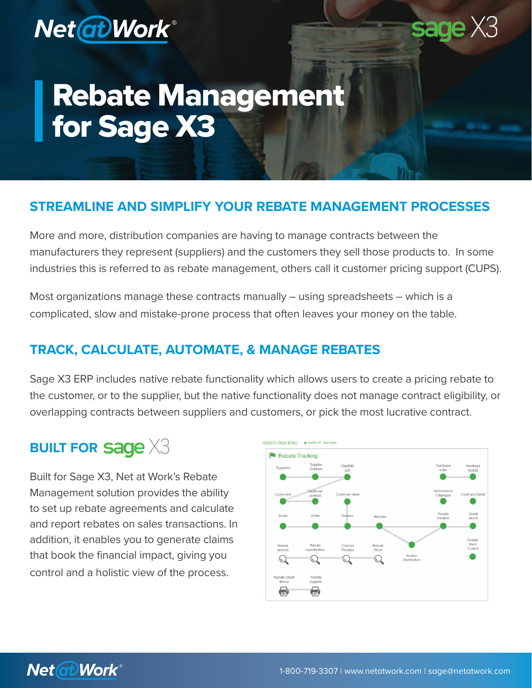

## **sage** X3

# Rebate Management for Sage X3

#### **STREAMLINE AND SIMPLIFY YOUR REBATE MANAGEMENT PROCESSES**

More and more, distribution companies are having to manage contracts between the manufacturers they represent (suppliers) and the customers they sell those products to. In some industries this is referred to as rebate management, others call it customer pricing support (CUPS).

Most organizations manage these contracts manually – using spreadsheets – which is a complicated, slow and mistake-prone process that often leaves your money on the table.

#### **TRACK, CALCULATE, AUTOMATE, & MANAGE REBATES**

Sage X3 ERP includes native rebate functionality which allows users to create a pricing rebate to the customer, or to the supplier, but the native functionality does not manage contract eligibility, or overlapping contracts between suppliers and customers, or pick the most lucrative contract.

## **BUILT FOR Sage X3**

Built for Sage X3, Net at Work's Rebate Management solution provides the ability to set up rebate agreements and calculate and report rebates on sales transactions. In addition, it enables you to generate claims that book the financial impact, giving you control and a holistic view of the process.